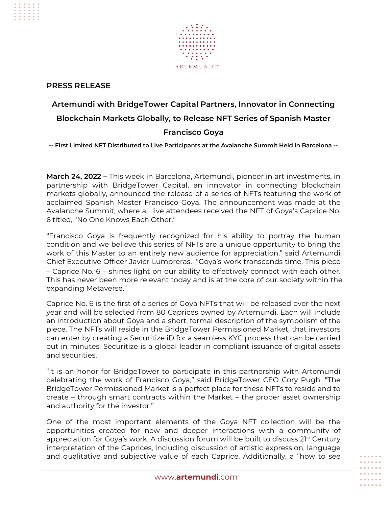

## **PRESS RELEASE**

# **Artemundi with BridgeTower Capital Partners, Innovator in Connecting Blockchain Markets Globally, to Release NFT Series of Spanish Master**

### **Francisco Goya**

**-- First Limited NFT Distributed to Live Participants at the Avalanche Summit Held in Barcelona --** 

**March 24, 2022 –** This week in Barcelona, Artemundi, pioneer in art investments, in partnership with BridgeTower Capital, an innovator in connecting blockchain markets globally, announced the release of a series of NFTs featuring the work of acclaimed Spanish Master Francisco Goya. The announcement was made at the Avalanche Summit, where all live attendees received the NFT of Goya's Caprice No. 6 titled, "No One Knows Each Other."

"Francisco Goya is frequently recognized for his ability to portray the human condition and we believe this series of NFTs are a unique opportunity to bring the work of this Master to an entirely new audience for appreciation," said Artemundi Chief Executive Officer Javier Lumbreras. "Goya's work transcends time. This piece – Caprice No. 6 – shines light on our ability to effectively connect with each other. This has never been more relevant today and is at the core of our society within the expanding Metaverse."

Caprice No. 6 is the first of a series of Goya NFTs that will be released over the next year and will be selected from 80 Caprices owned by Artemundi. Each will include an introduction about Goya and a short, formal description of the symbolism of the piece. The NFTs will reside in the BridgeTower Permissioned Market, that investors can enter by creating a Securitize iD for a seamless KYC process that can be carried out in minutes. Securitize is a global leader in compliant issuance of digital assets and securities.

"It is an honor for BridgeTower to participate in this partnership with Artemundi celebrating the work of Francisco Goya," said BridgeTower CEO Cory Pugh. "The BridgeTower Permissioned Market is a perfect place for these NFTs to reside and to create – through smart contracts within the Market – the proper asset ownership and authority for the investor."

One of the most important elements of the Goya NFT collection will be the opportunities created for new and deeper interactions with a community of appreciation for Goya's work. A discussion forum will be built to discuss 21<sup>st</sup> Century interpretation of the Caprices, including discussion of artistic expression, language and qualitative and subjective value of each Caprice. Additionally, a "how to see

. . . . . .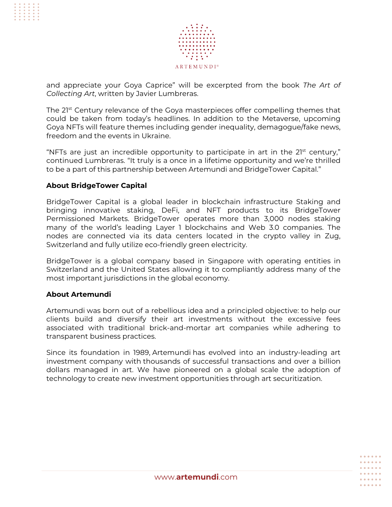

and appreciate your Goya Caprice" will be excerpted from the book *The Art of Collecting Art*, written by Javier Lumbreras.

The 2<sup>1st</sup> Century relevance of the Goya masterpieces offer compelling themes that could be taken from today's headlines. In addition to the Metaverse, upcoming Goya NFTs will feature themes including gender inequality, demagogue/fake news, freedom and the events in Ukraine.

"NFTs are just an incredible opportunity to participate in art in the  $21<sup>st</sup>$  century," continued Lumbreras. "It truly is a once in a lifetime opportunity and we're thrilled to be a part of this partnership between Artemundi and BridgeTower Capital."

#### **About BridgeTower Capital**

BridgeTower Capital is a global leader in blockchain infrastructure Staking and bringing innovative staking, DeFi, and NFT products to its BridgeTower Permissioned Markets. BridgeTower operates more than 3,000 nodes staking many of the world's leading Layer 1 blockchains and Web 3.0 companies. The nodes are connected via its data centers located in the crypto valley in Zug, Switzerland and fully utilize eco-friendly green electricity.

BridgeTower is a global company based in Singapore with operating entities in Switzerland and the United States allowing it to compliantly address many of the most important jurisdictions in the global economy.

#### **About Artemundi**

Artemundi was born out of a rebellious idea and a principled objective: to help our clients build and diversify their art investments without the excessive fees associated with traditional brick-and-mortar art companies while adhering to transparent business practices.

Since its foundation in 1989, Artemundi has evolved into an industry-leading art investment company with thousands of successful transactions and over a billion dollars managed in art. We have pioneered on a global scale the adoption of technology to create new investment opportunities through art securitization.